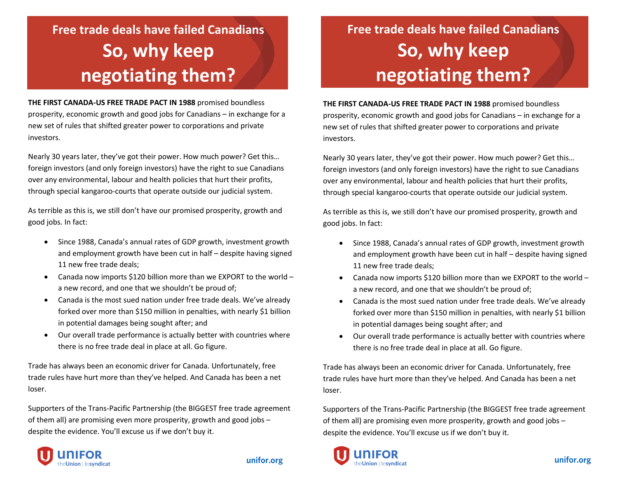# **Free trade deals have failed Canadians So, why keep negotiating them?**

**THE FIRST CANADA-US FREE TRADE PACT IN 1988** promised boundless prosperity, economic growth and good jobs for Canadians – in exchange for a new set of rules that shifted greater power to corporations and private investors.

Nearly 30 years later, they've got their power. How much power? Get this… foreign investors (and only foreign investors) have the right to sue Canadians over any environmental, labour and health policies that hurt their profits, through special kangaroo-courts that operate outside our judicial system.

As terrible as this is, we still don't have our promised prosperity, growth and good jobs. In fact:

- Since 1988, Canada's annual rates of GDP growth, investment growth and employment growth have been cut in half – despite having signed 11 new free trade deals;
- Canada now imports \$120 billion more than we EXPORT to the world a new record, and one that we shouldn't be proud of;
- Canada is the most sued nation under free trade deals. We've already forked over more than \$150 million in penalties, with nearly \$1 billion in potential damages being sought after; and
- Our overall trade performance is actually better with countries where there is no free trade deal in place at all. Go figure.

Trade has always been an economic driver for Canada. Unfortunately, free trade rules have hurt more than they've helped. And Canada has been a net loser.

Supporters of the Trans-Pacific Partnership (the BIGGEST free trade agreement of them all) are promising even more prosperity, growth and good jobs – despite the evidence. You'll excuse us if we don't buy it.



#### unifor.org

# **Free trade deals have failed Canadians So, why keep negotiating them?**

**THE FIRST CANADA-US FREE TRADE PACT IN 1988** promised boundless prosperity, economic growth and good jobs for Canadians – in exchange for a new set of rules that shifted greater power to corporations and private investors.

Nearly 30 years later, they've got their power. How much power? Get this… foreign investors (and only foreign investors) have the right to sue Canadians over any environmental, labour and health policies that hurt their profits, through special kangaroo-courts that operate outside our judicial system.

As terrible as this is, we still don't have our promised prosperity, growth and good jobs. In fact:

- Since 1988, Canada's annual rates of GDP growth, investment growth and employment growth have been cut in half – despite having signed 11 new free trade deals;
- Canada now imports \$120 billion more than we EXPORT to the world a new record, and one that we shouldn't be proud of;
- Canada is the most sued nation under free trade deals. We've already forked over more than \$150 million in penalties, with nearly \$1 billion in potential damages being sought after; and
- Our overall trade performance is actually better with countries where there is no free trade deal in place at all. Go figure.

Trade has always been an economic driver for Canada. Unfortunately, free trade rules have hurt more than they've helped. And Canada has been a net loser.

Supporters of the Trans-Pacific Partnership (the BIGGEST free trade agreement of them all) are promising even more prosperity, growth and good jobs – despite the evidence. You'll excuse us if we don't buy it.

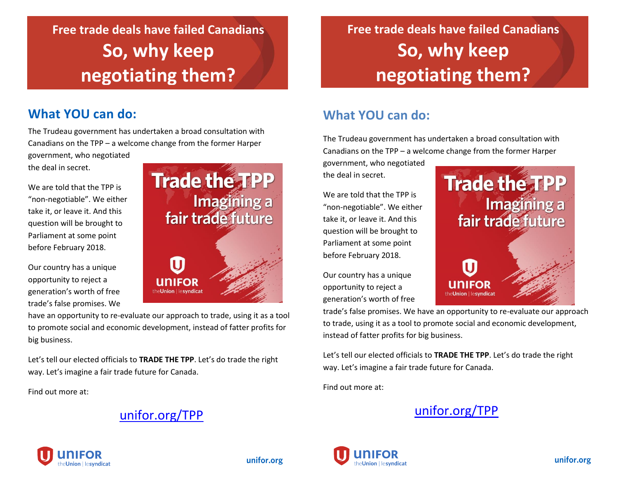## **Free trade deals have failed Canadians So, why keep negotiating them?**

### **What YOU can do:**

The Trudeau government has undertaken a broad consultation with Canadians on the TPP – a welcome change from the former Harper government, who negotiated

the deal in secret.

We are told that the TPP is "non-negotiable". We either take it, or leave it. And this question will be brought to Parliament at some point before February 2018.

Our country has a unique opportunity to reject a generation's worth of free trade's false promises. We



have an opportunity to re-evaluate our approach to trade, using it as a tool to promote social and economic development, instead of fatter profits for big business.

Let's tell our elected officials to **TRADE THE TPP**. Let's do trade the right way. Let's imagine a fair trade future for Canada.

Find out more at:

### [unifor.org/TPP](http://www.unifor.org/TPP)



### **Free trade deals have failed Canadians So, why keep negotiating them?**

### **What YOU can do:**

The Trudeau government has undertaken a broad consultation with Canadians on the TPP – a welcome change from the former Harper

**Trade the TPP** 

fair trade future

Imagining a

government, who negotiated the deal in secret.

We are told that the TPP is "non-negotiable". We either take it, or leave it. And this question will be brought to Parliament at some point before February 2018.

Our country has a unique opportunity to reject a generation's worth of free

trade's false promises. We have an opportunity to re-evaluate our approach to trade, using it as a tool to promote social and economic development, instead of fatter profits for big business.

U

**UNIFOR** 

theUnion | lesyndicat

Let's tell our elected officials to **TRADE THE TPP**. Let's do trade the right way. Let's imagine a fair trade future for Canada.

Find out more at:







unifor.org